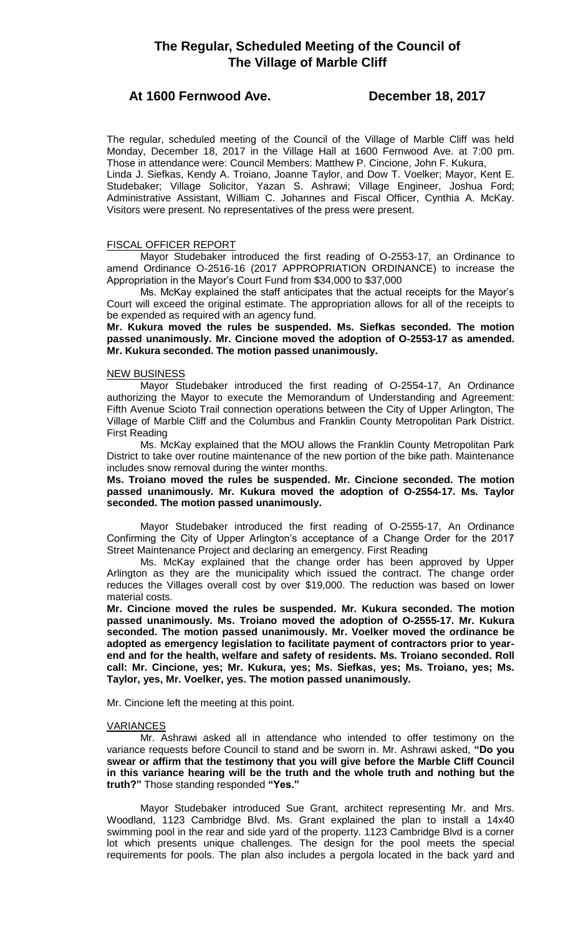# **At 1600 Fernwood Ave. December 18, 2017**

The regular, scheduled meeting of the Council of the Village of Marble Cliff was held Monday, December 18, 2017 in the Village Hall at 1600 Fernwood Ave. at 7:00 pm. Those in attendance were: Council Members: Matthew P. Cincione, John F. Kukura, Linda J. Siefkas, Kendy A. Troiano, Joanne Taylor, and Dow T. Voelker; Mayor, Kent E.

Studebaker; Village Solicitor, Yazan S. Ashrawi; Village Engineer, Joshua Ford; Administrative Assistant, William C. Johannes and Fiscal Officer, Cynthia A. McKay. Visitors were present. No representatives of the press were present.

## FISCAL OFFICER REPORT

Mayor Studebaker introduced the first reading of O-2553-17, an Ordinance to amend Ordinance O-2516-16 (2017 APPROPRIATION ORDINANCE) to increase the Appropriation in the Mayor's Court Fund from \$34,000 to \$37,000

Ms. McKay explained the staff anticipates that the actual receipts for the Mayor's Court will exceed the original estimate. The appropriation allows for all of the receipts to be expended as required with an agency fund.

**Mr. Kukura moved the rules be suspended. Ms. Siefkas seconded. The motion passed unanimously. Mr. Cincione moved the adoption of O-2553-17 as amended. Mr. Kukura seconded. The motion passed unanimously.** 

## NEW BUSINESS

Mayor Studebaker introduced the first reading of O-2554-17, An Ordinance authorizing the Mayor to execute the Memorandum of Understanding and Agreement: Fifth Avenue Scioto Trail connection operations between the City of Upper Arlington, The Village of Marble Cliff and the Columbus and Franklin County Metropolitan Park District. First Reading

Ms. McKay explained that the MOU allows the Franklin County Metropolitan Park District to take over routine maintenance of the new portion of the bike path. Maintenance includes snow removal during the winter months.

## **Ms. Troiano moved the rules be suspended. Mr. Cincione seconded. The motion passed unanimously. Mr. Kukura moved the adoption of O-2554-17. Ms. Taylor seconded. The motion passed unanimously.**

Mayor Studebaker introduced the first reading of O-2555-17, An Ordinance Confirming the City of Upper Arlington's acceptance of a Change Order for the 2017 Street Maintenance Project and declaring an emergency. First Reading

Ms. McKay explained that the change order has been approved by Upper Arlington as they are the municipality which issued the contract. The change order reduces the Villages overall cost by over \$19,000. The reduction was based on lower material costs.

**Mr. Cincione moved the rules be suspended. Mr. Kukura seconded. The motion passed unanimously. Ms. Troiano moved the adoption of O-2555-17. Mr. Kukura seconded. The motion passed unanimously. Mr. Voelker moved the ordinance be adopted as emergency legislation to facilitate payment of contractors prior to yearend and for the health, welfare and safety of residents. Ms. Troiano seconded. Roll call: Mr. Cincione, yes; Mr. Kukura, yes; Ms. Siefkas, yes; Ms. Troiano, yes; Ms. Taylor, yes, Mr. Voelker, yes. The motion passed unanimously.**

Mr. Cincione left the meeting at this point.

## VARIANCES

Mr. Ashrawi asked all in attendance who intended to offer testimony on the variance requests before Council to stand and be sworn in. Mr. Ashrawi asked, **"Do you swear or affirm that the testimony that you will give before the Marble Cliff Council in this variance hearing will be the truth and the whole truth and nothing but the truth?"** Those standing responded **"Yes."**

Mayor Studebaker introduced Sue Grant, architect representing Mr. and Mrs. Woodland, 1123 Cambridge Blvd. Ms. Grant explained the plan to install a 14x40 swimming pool in the rear and side yard of the property. 1123 Cambridge Blvd is a corner lot which presents unique challenges. The design for the pool meets the special requirements for pools. The plan also includes a pergola located in the back yard and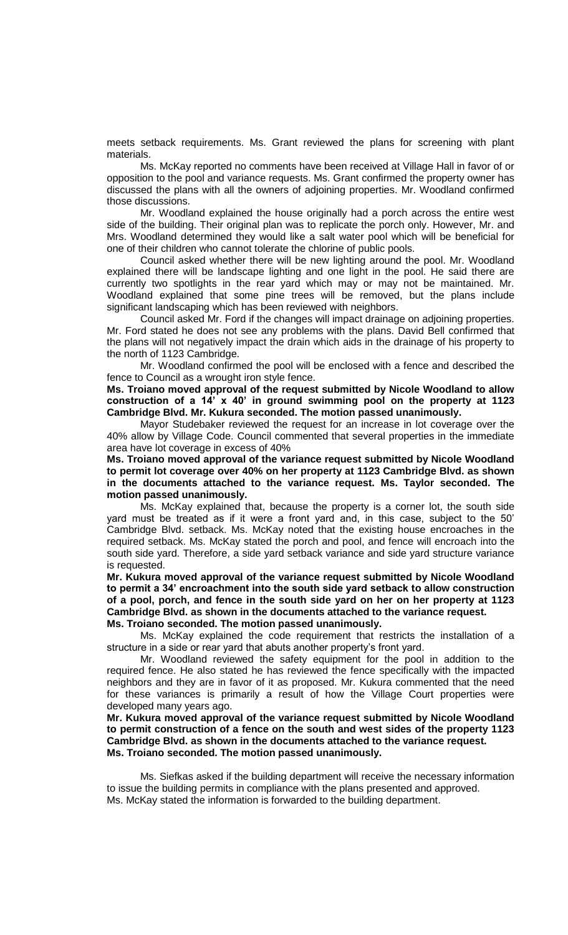meets setback requirements. Ms. Grant reviewed the plans for screening with plant materials.

Ms. McKay reported no comments have been received at Village Hall in favor of or opposition to the pool and variance requests. Ms. Grant confirmed the property owner has discussed the plans with all the owners of adjoining properties. Mr. Woodland confirmed those discussions.

Mr. Woodland explained the house originally had a porch across the entire west side of the building. Their original plan was to replicate the porch only. However, Mr. and Mrs. Woodland determined they would like a salt water pool which will be beneficial for one of their children who cannot tolerate the chlorine of public pools.

Council asked whether there will be new lighting around the pool. Mr. Woodland explained there will be landscape lighting and one light in the pool. He said there are currently two spotlights in the rear yard which may or may not be maintained. Mr. Woodland explained that some pine trees will be removed, but the plans include significant landscaping which has been reviewed with neighbors.

Council asked Mr. Ford if the changes will impact drainage on adjoining properties. Mr. Ford stated he does not see any problems with the plans. David Bell confirmed that the plans will not negatively impact the drain which aids in the drainage of his property to the north of 1123 Cambridge.

Mr. Woodland confirmed the pool will be enclosed with a fence and described the fence to Council as a wrought iron style fence.

**Ms. Troiano moved approval of the request submitted by Nicole Woodland to allow construction of a 14' x 40' in ground swimming pool on the property at 1123 Cambridge Blvd. Mr. Kukura seconded. The motion passed unanimously.**

Mayor Studebaker reviewed the request for an increase in lot coverage over the 40% allow by Village Code. Council commented that several properties in the immediate area have lot coverage in excess of 40%

**Ms. Troiano moved approval of the variance request submitted by Nicole Woodland to permit lot coverage over 40% on her property at 1123 Cambridge Blvd. as shown in the documents attached to the variance request. Ms. Taylor seconded. The motion passed unanimously.** 

Ms. McKay explained that, because the property is a corner lot, the south side yard must be treated as if it were a front yard and, in this case, subject to the 50' Cambridge Blvd. setback. Ms. McKay noted that the existing house encroaches in the required setback. Ms. McKay stated the porch and pool, and fence will encroach into the south side yard. Therefore, a side yard setback variance and side yard structure variance is requested.

**Mr. Kukura moved approval of the variance request submitted by Nicole Woodland to permit a 34' encroachment into the south side yard setback to allow construction of a pool, porch, and fence in the south side yard on her on her property at 1123 Cambridge Blvd. as shown in the documents attached to the variance request. Ms. Troiano seconded. The motion passed unanimously.**

Ms. McKay explained the code requirement that restricts the installation of a structure in a side or rear yard that abuts another property's front yard.

Mr. Woodland reviewed the safety equipment for the pool in addition to the required fence. He also stated he has reviewed the fence specifically with the impacted neighbors and they are in favor of it as proposed. Mr. Kukura commented that the need for these variances is primarily a result of how the Village Court properties were developed many years ago.

**Mr. Kukura moved approval of the variance request submitted by Nicole Woodland to permit construction of a fence on the south and west sides of the property 1123 Cambridge Blvd. as shown in the documents attached to the variance request. Ms. Troiano seconded. The motion passed unanimously.** 

Ms. Siefkas asked if the building department will receive the necessary information to issue the building permits in compliance with the plans presented and approved. Ms. McKay stated the information is forwarded to the building department.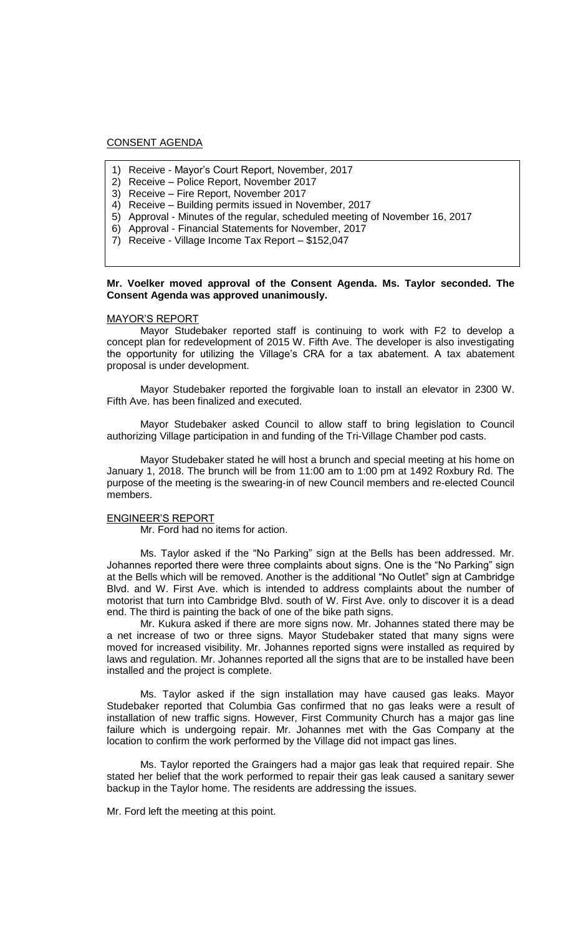## CONSENT AGENDA

- 1) Receive Mayor's Court Report, November, 2017
- 2) Receive Police Report, November 2017
- 3) Receive Fire Report, November 2017
- 4) Receive Building permits issued in November, 2017
- 5) Approval Minutes of the regular, scheduled meeting of November 16, 2017
- 6) Approval Financial Statements for November, 2017
- 7) Receive Village Income Tax Report \$152,047

## **Mr. Voelker moved approval of the Consent Agenda. Ms. Taylor seconded. The Consent Agenda was approved unanimously.**

## MAYOR'S REPORT

Mayor Studebaker reported staff is continuing to work with F2 to develop a concept plan for redevelopment of 2015 W. Fifth Ave. The developer is also investigating the opportunity for utilizing the Village's CRA for a tax abatement. A tax abatement proposal is under development.

Mayor Studebaker reported the forgivable loan to install an elevator in 2300 W. Fifth Ave. has been finalized and executed.

Mayor Studebaker asked Council to allow staff to bring legislation to Council authorizing Village participation in and funding of the Tri-Village Chamber pod casts.

Mayor Studebaker stated he will host a brunch and special meeting at his home on January 1, 2018. The brunch will be from 11:00 am to 1:00 pm at 1492 Roxbury Rd. The purpose of the meeting is the swearing-in of new Council members and re-elected Council members.

#### ENGINEER'S REPORT

Mr. Ford had no items for action.

Ms. Taylor asked if the "No Parking" sign at the Bells has been addressed. Mr. Johannes reported there were three complaints about signs. One is the "No Parking" sign at the Bells which will be removed. Another is the additional "No Outlet" sign at Cambridge Blvd. and W. First Ave. which is intended to address complaints about the number of motorist that turn into Cambridge Blvd. south of W. First Ave. only to discover it is a dead end. The third is painting the back of one of the bike path signs.

Mr. Kukura asked if there are more signs now. Mr. Johannes stated there may be a net increase of two or three signs. Mayor Studebaker stated that many signs were moved for increased visibility. Mr. Johannes reported signs were installed as required by laws and regulation. Mr. Johannes reported all the signs that are to be installed have been installed and the project is complete.

Ms. Taylor asked if the sign installation may have caused gas leaks. Mayor Studebaker reported that Columbia Gas confirmed that no gas leaks were a result of installation of new traffic signs. However, First Community Church has a major gas line failure which is undergoing repair. Mr. Johannes met with the Gas Company at the location to confirm the work performed by the Village did not impact gas lines.

Ms. Taylor reported the Graingers had a major gas leak that required repair. She stated her belief that the work performed to repair their gas leak caused a sanitary sewer backup in the Taylor home. The residents are addressing the issues.

Mr. Ford left the meeting at this point.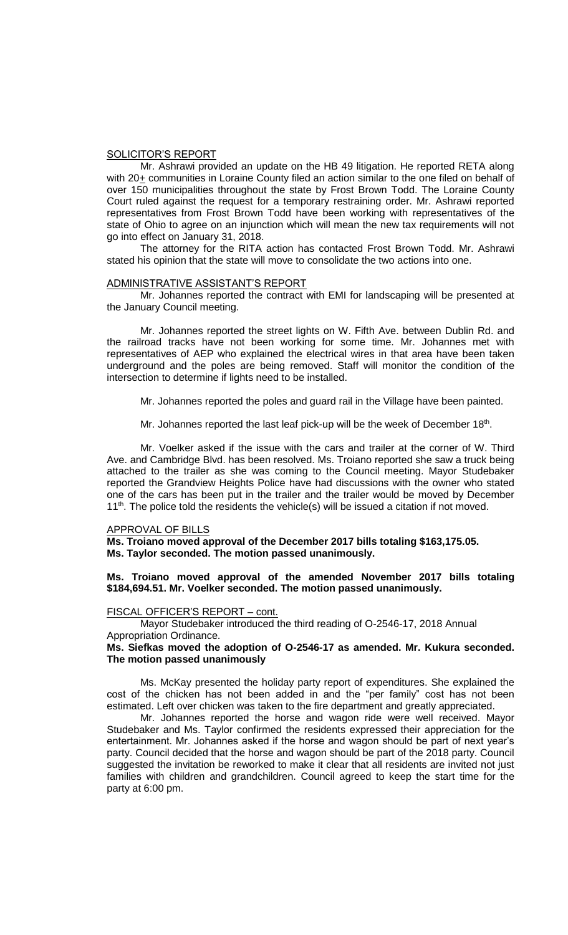#### SOLICITOR'S REPORT

Mr. Ashrawi provided an update on the HB 49 litigation. He reported RETA along with 20+ communities in Loraine County filed an action similar to the one filed on behalf of over 150 municipalities throughout the state by Frost Brown Todd. The Loraine County Court ruled against the request for a temporary restraining order. Mr. Ashrawi reported representatives from Frost Brown Todd have been working with representatives of the state of Ohio to agree on an injunction which will mean the new tax requirements will not go into effect on January 31, 2018.

The attorney for the RITA action has contacted Frost Brown Todd. Mr. Ashrawi stated his opinion that the state will move to consolidate the two actions into one.

### ADMINISTRATIVE ASSISTANT'S REPORT

Mr. Johannes reported the contract with EMI for landscaping will be presented at the January Council meeting.

Mr. Johannes reported the street lights on W. Fifth Ave. between Dublin Rd. and the railroad tracks have not been working for some time. Mr. Johannes met with representatives of AEP who explained the electrical wires in that area have been taken underground and the poles are being removed. Staff will monitor the condition of the intersection to determine if lights need to be installed.

Mr. Johannes reported the poles and guard rail in the Village have been painted.

Mr. Johannes reported the last leaf pick-up will be the week of December 18<sup>th</sup>.

Mr. Voelker asked if the issue with the cars and trailer at the corner of W. Third Ave. and Cambridge Blvd. has been resolved. Ms. Troiano reported she saw a truck being attached to the trailer as she was coming to the Council meeting. Mayor Studebaker reported the Grandview Heights Police have had discussions with the owner who stated one of the cars has been put in the trailer and the trailer would be moved by December  $11<sup>th</sup>$ . The police told the residents the vehicle(s) will be issued a citation if not moved.

#### APPROVAL OF BILLS

**Ms. Troiano moved approval of the December 2017 bills totaling \$163,175.05. Ms. Taylor seconded. The motion passed unanimously.**

## **Ms. Troiano moved approval of the amended November 2017 bills totaling \$184,694.51. Mr. Voelker seconded. The motion passed unanimously.**

#### FISCAL OFFICER'S REPORT – cont.

Mayor Studebaker introduced the third reading of O-2546-17, 2018 Annual Appropriation Ordinance.

### **Ms. Siefkas moved the adoption of O-2546-17 as amended. Mr. Kukura seconded. The motion passed unanimously**

Ms. McKay presented the holiday party report of expenditures. She explained the cost of the chicken has not been added in and the "per family" cost has not been estimated. Left over chicken was taken to the fire department and greatly appreciated.

Mr. Johannes reported the horse and wagon ride were well received. Mayor Studebaker and Ms. Taylor confirmed the residents expressed their appreciation for the entertainment. Mr. Johannes asked if the horse and wagon should be part of next year's party. Council decided that the horse and wagon should be part of the 2018 party. Council suggested the invitation be reworked to make it clear that all residents are invited not just families with children and grandchildren. Council agreed to keep the start time for the party at 6:00 pm.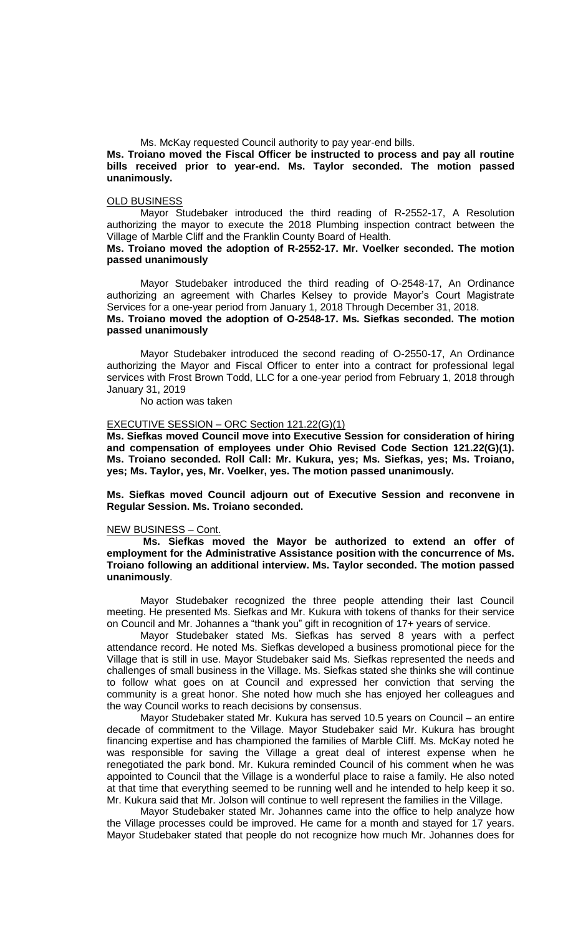Ms. McKay requested Council authority to pay year-end bills.

**Ms. Troiano moved the Fiscal Officer be instructed to process and pay all routine bills received prior to year-end. Ms. Taylor seconded. The motion passed unanimously.**

### OLD BUSINESS

Mayor Studebaker introduced the third reading of R-2552-17, A Resolution authorizing the mayor to execute the 2018 Plumbing inspection contract between the Village of Marble Cliff and the Franklin County Board of Health.

## **Ms. Troiano moved the adoption of R-2552-17. Mr. Voelker seconded. The motion passed unanimously**

Mayor Studebaker introduced the third reading of O-2548-17, An Ordinance authorizing an agreement with Charles Kelsey to provide Mayor's Court Magistrate Services for a one-year period from January 1, 2018 Through December 31, 2018. **Ms. Troiano moved the adoption of O-2548-17. Ms. Siefkas seconded. The motion passed unanimously**

Mayor Studebaker introduced the second reading of O-2550-17, An Ordinance authorizing the Mayor and Fiscal Officer to enter into a contract for professional legal services with Frost Brown Todd, LLC for a one-year period from February 1, 2018 through January 31, 2019

No action was taken

# EXECUTIVE SESSION – ORC Section 121.22(G)(1)

**Ms. Siefkas moved Council move into Executive Session for consideration of hiring and compensation of employees under Ohio Revised Code Section 121.22(G)(1). Ms. Troiano seconded. Roll Call: Mr. Kukura, yes; Ms. Siefkas, yes; Ms. Troiano, yes; Ms. Taylor, yes, Mr. Voelker, yes. The motion passed unanimously.**

**Ms. Siefkas moved Council adjourn out of Executive Session and reconvene in Regular Session. Ms. Troiano seconded.**

#### NEW BUSINESS – Cont.

**Ms. Siefkas moved the Mayor be authorized to extend an offer of employment for the Administrative Assistance position with the concurrence of Ms. Troiano following an additional interview. Ms. Taylor seconded. The motion passed unanimously**.

Mayor Studebaker recognized the three people attending their last Council meeting. He presented Ms. Siefkas and Mr. Kukura with tokens of thanks for their service on Council and Mr. Johannes a "thank you" gift in recognition of 17+ years of service.

Mayor Studebaker stated Ms. Siefkas has served 8 years with a perfect attendance record. He noted Ms. Siefkas developed a business promotional piece for the Village that is still in use. Mayor Studebaker said Ms. Siefkas represented the needs and challenges of small business in the Village. Ms. Siefkas stated she thinks she will continue to follow what goes on at Council and expressed her conviction that serving the community is a great honor. She noted how much she has enjoyed her colleagues and the way Council works to reach decisions by consensus.

Mayor Studebaker stated Mr. Kukura has served 10.5 years on Council – an entire decade of commitment to the Village. Mayor Studebaker said Mr. Kukura has brought financing expertise and has championed the families of Marble Cliff. Ms. McKay noted he was responsible for saving the Village a great deal of interest expense when he renegotiated the park bond. Mr. Kukura reminded Council of his comment when he was appointed to Council that the Village is a wonderful place to raise a family. He also noted at that time that everything seemed to be running well and he intended to help keep it so. Mr. Kukura said that Mr. Jolson will continue to well represent the families in the Village.

Mayor Studebaker stated Mr. Johannes came into the office to help analyze how the Village processes could be improved. He came for a month and stayed for 17 years. Mayor Studebaker stated that people do not recognize how much Mr. Johannes does for